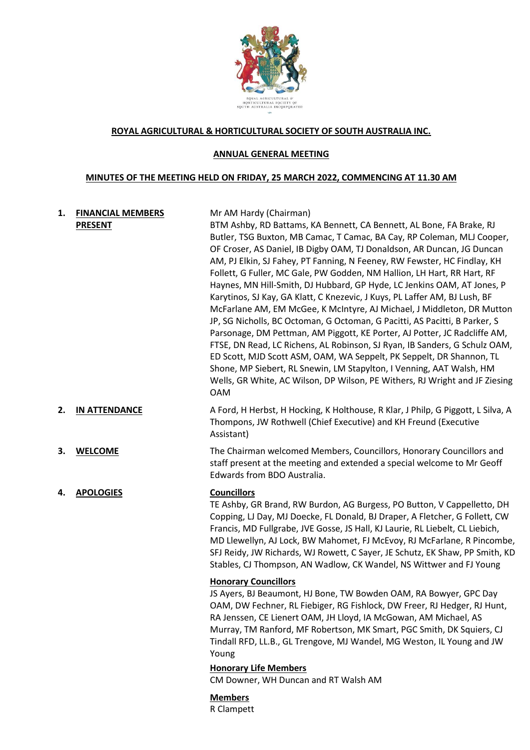

#### **ROYAL AGRICULTURAL & HORTICULTURAL SOCIETY OF SOUTH AUSTRALIA INC.**

#### **ANNUAL GENERAL MEETING**

#### **MINUTES OF THE MEETING HELD ON FRIDAY, 25 MARCH 2022, COMMENCING AT 11.30 AM**

# **1. FINANCIAL MEMBERS PRESENT**

Mr AM Hardy (Chairman) BTM Ashby, RD Battams, KA Bennett, CA Bennett, AL Bone, FA Brake, RJ Butler, TSG Buxton, MB Camac, T Camac, BA Cay, RP Coleman, MLJ Cooper, OF Croser, AS Daniel, IB Digby OAM, TJ Donaldson, AR Duncan, JG Duncan AM, PJ Elkin, SJ Fahey, PT Fanning, N Feeney, RW Fewster, HC Findlay, KH Follett, G Fuller, MC Gale, PW Godden, NM Hallion, LH Hart, RR Hart, RF Haynes, MN Hill-Smith, DJ Hubbard, GP Hyde, LC Jenkins OAM, AT Jones, P Karytinos, SJ Kay, GA Klatt, C Knezevic, J Kuys, PL Laffer AM, BJ Lush, BF McFarlane AM, EM McGee, K McIntyre, AJ Michael, J Middleton, DR Mutton JP, SG Nicholls, BC Octoman, G Octoman, G Pacitti, AS Pacitti, B Parker, S Parsonage, DM Pettman, AM Piggott, KE Porter, AJ Potter, JC Radcliffe AM, FTSE, DN Read, LC Richens, AL Robinson, SJ Ryan, IB Sanders, G Schulz OAM, ED Scott, MJD Scott ASM, OAM, WA Seppelt, PK Seppelt, DR Shannon, TL Shone, MP Siebert, RL Snewin, LM Stapylton, I Venning, AAT Walsh, HM Wells, GR White, AC Wilson, DP Wilson, PE Withers, RJ Wright and JF Ziesing OAM

**2. IN ATTENDANCE** A Ford, H Herbst, H Hocking, K Holthouse, R Klar, J Philp, G Piggott, L Silva, A Thompons, JW Rothwell (Chief Executive) and KH Freund (Executive Assistant)

**3. WELCOME** The Chairman welcomed Members, Councillors, Honorary Councillors and staff present at the meeting and extended a special welcome to Mr Geoff Edwards from BDO Australia.

### **4. APOLOGIES Councillors**

TE Ashby, GR Brand, RW Burdon, AG Burgess, PO Button, V Cappelletto, DH Copping, LJ Day, MJ Doecke, FL Donald, BJ Draper, A Fletcher, G Follett, CW Francis, MD Fullgrabe, JVE Gosse, JS Hall, KJ Laurie, RL Liebelt, CL Liebich, MD Llewellyn, AJ Lock, BW Mahomet, FJ McEvoy, RJ McFarlane, R Pincombe, SFJ Reidy, JW Richards, WJ Rowett, C Sayer, JE Schutz, EK Shaw, PP Smith, KD Stables, CJ Thompson, AN Wadlow, CK Wandel, NS Wittwer and FJ Young

### **Honorary Councillors**

JS Ayers, BJ Beaumont, HJ Bone, TW Bowden OAM, RA Bowyer, GPC Day OAM, DW Fechner, RL Fiebiger, RG Fishlock, DW Freer, RJ Hedger, RJ Hunt, RA Jenssen, CE Lienert OAM, JH Lloyd, IA McGowan, AM Michael, AS Murray, TM Ranford, MF Robertson, MK Smart, PGC Smith, DK Squiers, CJ Tindall RFD, LL.B., GL Trengove, MJ Wandel, MG Weston, IL Young and JW Young

## **Honorary Life Members**

CM Downer, WH Duncan and RT Walsh AM

### **Members**

R Clampett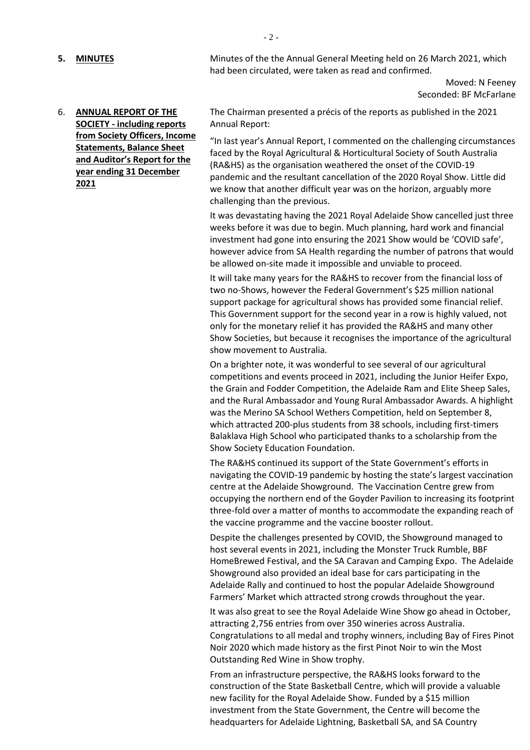**5. MINUTES** Minutes of the 1-200 Minutes of the Annual General Meeting held on 26 March 2021, which had been circulated, were taken as read and confirmed.

> Moved: N Feeney Seconded: BF McFarlane

6. **ANNUAL REPORT OF THE SOCIETY - including reports from Society Officers, Income Statements, Balance Sheet and Auditor's Report for the year ending 31 December 2021**

The Chairman presented a précis of the reports as published in the 2021 Annual Report:

"In last year's Annual Report, I commented on the challenging circumstances faced by the Royal Agricultural & Horticultural Society of South Australia (RA&HS) as the organisation weathered the onset of the COVID-19 pandemic and the resultant cancellation of the 2020 Royal Show. Little did we know that another difficult year was on the horizon, arguably more challenging than the previous.

It was devastating having the 2021 Royal Adelaide Show cancelled just three weeks before it was due to begin. Much planning, hard work and financial investment had gone into ensuring the 2021 Show would be 'COVID safe', however advice from SA Health regarding the number of patrons that would be allowed on-site made it impossible and unviable to proceed.

It will take many years for the RA&HS to recover from the financial loss of two no-Shows, however the Federal Government's \$25 million national support package for agricultural shows has provided some financial relief. This Government support for the second year in a row is highly valued, not only for the monetary relief it has provided the RA&HS and many other Show Societies, but because it recognises the importance of the agricultural show movement to Australia.

On a brighter note, it was wonderful to see several of our agricultural competitions and events proceed in 2021, including the Junior Heifer Expo, the Grain and Fodder Competition, the Adelaide Ram and Elite Sheep Sales, and the Rural Ambassador and Young Rural Ambassador Awards. A highlight was the Merino SA School Wethers Competition, held on September 8, which attracted 200-plus students from 38 schools, including first-timers Balaklava High School who participated thanks to a scholarship from the Show Society Education Foundation.

The RA&HS continued its support of the State Government's efforts in navigating the COVID-19 pandemic by hosting the state's largest vaccination centre at the Adelaide Showground. The Vaccination Centre grew from occupying the northern end of the Goyder Pavilion to increasing its footprint three-fold over a matter of months to accommodate the expanding reach of the vaccine programme and the vaccine booster rollout.

Despite the challenges presented by COVID, the Showground managed to host several events in 2021, including the Monster Truck Rumble, BBF HomeBrewed Festival, and the SA Caravan and Camping Expo. The Adelaide Showground also provided an ideal base for cars participating in the Adelaide Rally and continued to host the popular Adelaide Showground Farmers' Market which attracted strong crowds throughout the year.

It was also great to see the Royal Adelaide Wine Show go ahead in October, attracting 2,756 entries from over 350 wineries across Australia. Congratulations to all medal and trophy winners, including Bay of Fires Pinot Noir 2020 which made history as the first Pinot Noir to win the Most Outstanding Red Wine in Show trophy.

From an infrastructure perspective, the RA&HS looks forward to the construction of the State Basketball Centre, which will provide a valuable new facility for the Royal Adelaide Show. Funded by a \$15 million investment from the State Government, the Centre will become the headquarters for Adelaide Lightning, Basketball SA, and SA Country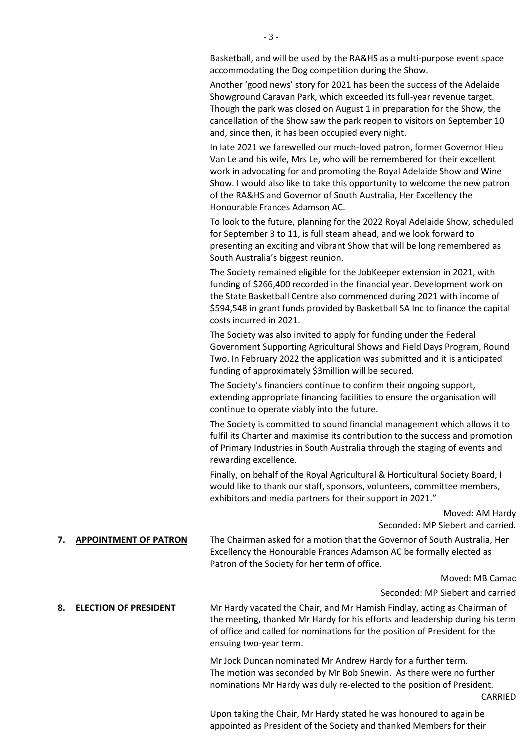Basketball, and will be used by the RA&HS as a multi-purpose event space accommodating the Dog competition during the Show.

Another 'good news' story for 2021 has been the success of the Adelaide Showground Caravan Park, which exceeded its full-year revenue target. Though the park was closed on August 1 in preparation for the Show, the cancellation of the Show saw the park reopen to visitors on September 10 and, since then, it has been occupied every night.

In late 2021 we farewelled our much-loved patron, former Governor Hieu Van Le and his wife, Mrs Le, who will be remembered for their excellent work in advocating for and promoting the Royal Adelaide Show and Wine Show. I would also like to take this opportunity to welcome the new patron of the RA&HS and Governor of South Australia, Her Excellency the Honourable Frances Adamson AC.

To look to the future, planning for the 2022 Royal Adelaide Show, scheduled for September 3 to 11, is full steam ahead, and we look forward to presenting an exciting and vibrant Show that will be long remembered as South Australia's biggest reunion.

The Society remained eligible for the JobKeeper extension in 2021, with funding of \$266,400 recorded in the financial year. Development work on the State Basketball Centre also commenced during 2021 with income of \$594,548 in grant funds provided by Basketball SA Inc to finance the capital costs incurred in 2021.

The Society was also invited to apply for funding under the Federal Government Supporting Agricultural Shows and Field Days Program, Round Two. In February 2022 the application was submitted and it is anticipated funding of approximately \$3million will be secured.

The Society's financiers continue to confirm their ongoing support, extending appropriate financing facilities to ensure the organisation will continue to operate viably into the future.

The Society is committed to sound financial management which allows it to fulfil its Charter and maximise its contribution to the success and promotion of Primary Industries in South Australia through the staging of events and rewarding excellence.

Finally, on behalf of the Royal Agricultural & Horticultural Society Board, I would like to thank our staff, sponsors, volunteers, committee members, exhibitors and media partners for their support in 2021."

> Moved: AM Hardy Seconded: MP Siebert and carried.

**7. APPOINTMENT OF PATRON** The Chairman asked for a motion that the Governor of South Australia, Her Excellency the Honourable Frances Adamson AC be formally elected as Patron of the Society for her term of office.

Moved: MB Camac

Seconded: MP Siebert and carried

**8. ELECTION OF PRESIDENT** Mr Hardy vacated the Chair, and Mr Hamish Findlay, acting as Chairman of the meeting, thanked Mr Hardy for his efforts and leadership during his term of office and called for nominations for the position of President for the ensuing two-year term.

> Mr Jock Duncan nominated Mr Andrew Hardy for a further term. The motion was seconded by Mr Bob Snewin. As there were no further nominations Mr Hardy was duly re-elected to the position of President. CARRIED

Upon taking the Chair, Mr Hardy stated he was honoured to again be appointed as President of the Society and thanked Members for their